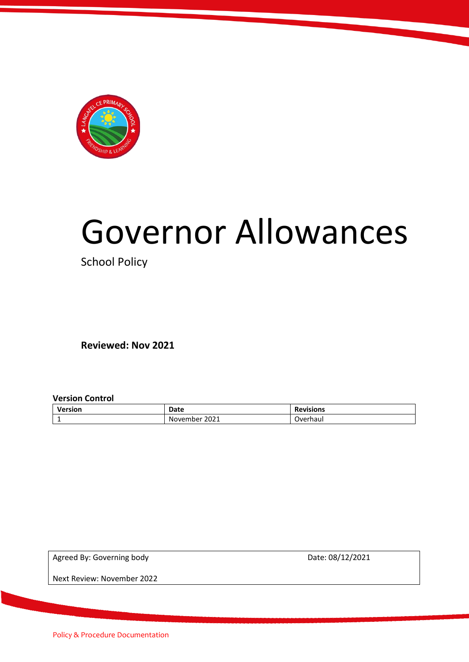

# Governor Allowances

School Policy

**Reviewed: Nov 2021**

**Version Control** 

| Version       | Date             | <b>Revisions</b> |
|---------------|------------------|------------------|
| <u>. на с</u> | 2021<br>November | Overhaul         |

Agreed By: Governing body and the control of the Date: 08/12/2021

Next Review: November 2022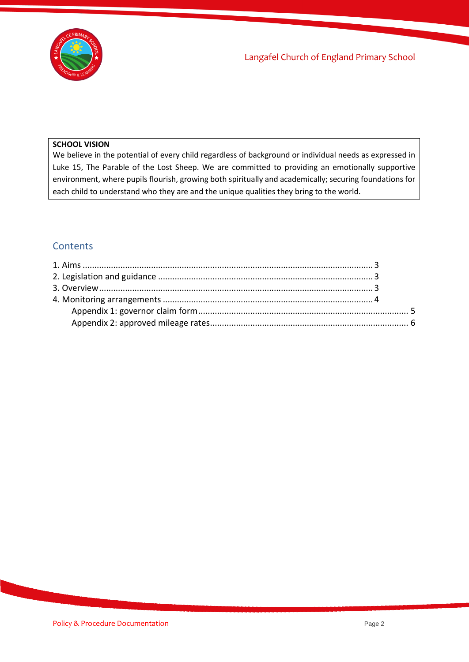

#### **SCHOOL VISION**

We believe in the potential of every child regardless of background or individual needs as expressed in Luke 15, The Parable of the Lost Sheep. We are committed to providing an emotionally supportive environment, where pupils flourish, growing both spiritually and academically; securing foundations for each child to understand who they are and the unique qualities they bring to the world.

### **Contents**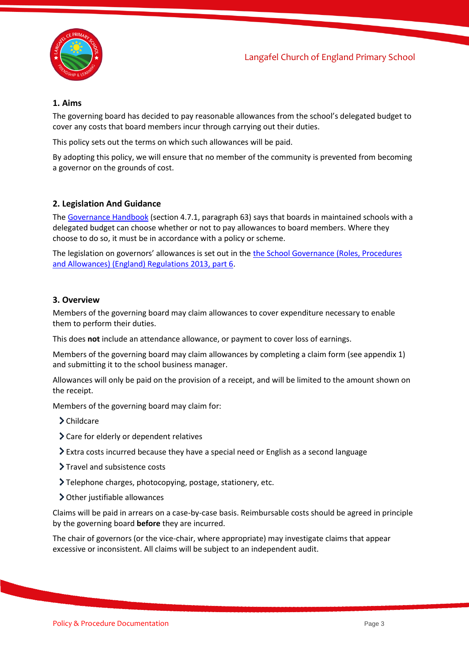



#### <span id="page-2-0"></span>**1. Aims**

The governing board has decided to pay reasonable allowances from the school's delegated budget to cover any costs that board members incur through carrying out their duties.

This policy sets out the terms on which such allowances will be paid.

By adopting this policy, we will ensure that no member of the community is prevented from becoming a governor on the grounds of cost.

#### <span id="page-2-1"></span>**2. Legislation And Guidance**

The [Governance Handbook](https://www.gov.uk/government/uploads/system/uploads/attachment_data/file/582868/Governance_Handbook_-_January_2017.pdf) (section 4.7.1, paragraph 63) says that boards in maintained schools with a delegated budget can choose whether or not to pay allowances to board members. Where they choose to do so, it must be in accordance with a policy or scheme.

The legislation on governors' allowances is set out in the the School Governance (Roles, Procedures [and Allowances\) \(England\) Regulations](http://www.legislation.gov.uk/uksi/2013/1624/part/6/made) 2013, part 6.

#### <span id="page-2-2"></span>**3. Overview**

Members of the governing board may claim allowances to cover expenditure necessary to enable them to perform their duties.

This does **not** include an attendance allowance, or payment to cover loss of earnings.

Members of the governing board may claim allowances by completing a claim form (see appendix 1) and submitting it to the school business manager.

Allowances will only be paid on the provision of a receipt, and will be limited to the amount shown on the receipt.

Members of the governing board may claim for:

- > Childcare
- Care for elderly or dependent relatives
- Extra costs incurred because they have a special need or English as a second language
- > Travel and subsistence costs
- Telephone charges, photocopying, postage, stationery, etc.
- Other justifiable allowances

Claims will be paid in arrears on a case-by-case basis. Reimbursable costs should be agreed in principle by the governing board **before** they are incurred.

The chair of governors (or the vice-chair, where appropriate) may investigate claims that appear excessive or inconsistent. All claims will be subject to an independent audit.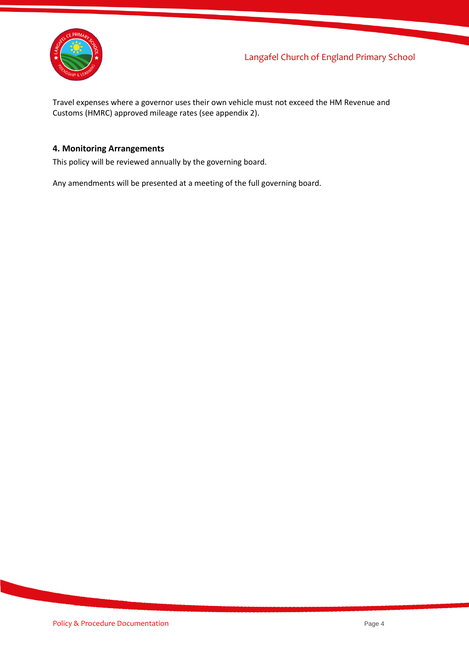

Travel expenses where a governor uses their own vehicle must not exceed the HM Revenue and Customs (HMRC) approved mileage rates (see appendix 2).

#### <span id="page-3-0"></span>**4. Monitoring Arrangements**

This policy will be reviewed annually by the governing board.

Any amendments will be presented at a meeting of the full governing board.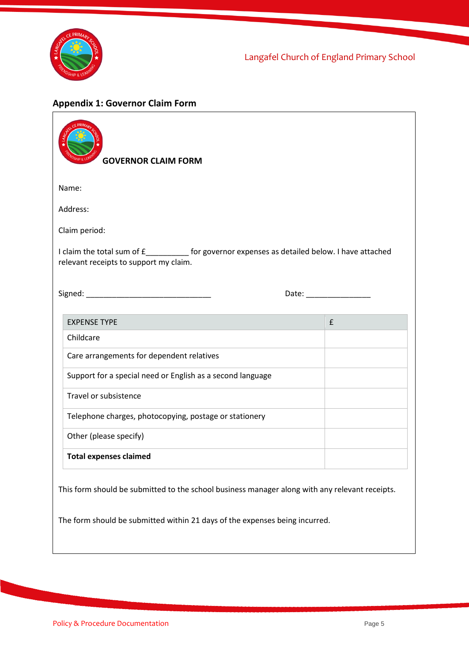

Langafel Church of England Primary School

# <span id="page-4-0"></span>**Appendix 1: Governor Claim Form**

| <b>GOVERNOR CLAIM FORM</b>                                                                                                                  |                                                                                                                                                                                                                                |  |  |  |
|---------------------------------------------------------------------------------------------------------------------------------------------|--------------------------------------------------------------------------------------------------------------------------------------------------------------------------------------------------------------------------------|--|--|--|
| Name:                                                                                                                                       |                                                                                                                                                                                                                                |  |  |  |
| Address:                                                                                                                                    |                                                                                                                                                                                                                                |  |  |  |
| Claim period:                                                                                                                               |                                                                                                                                                                                                                                |  |  |  |
| I claim the total sum of £______________ for governor expenses as detailed below. I have attached<br>relevant receipts to support my claim. |                                                                                                                                                                                                                                |  |  |  |
|                                                                                                                                             | Date: the contract of the contract of the contract of the contract of the contract of the contract of the contract of the contract of the contract of the contract of the contract of the contract of the contract of the cont |  |  |  |
| <b>EXPENSE TYPE</b>                                                                                                                         | £                                                                                                                                                                                                                              |  |  |  |
| Childcare                                                                                                                                   |                                                                                                                                                                                                                                |  |  |  |
| Care arrangements for dependent relatives                                                                                                   |                                                                                                                                                                                                                                |  |  |  |
| Support for a special need or English as a second language                                                                                  |                                                                                                                                                                                                                                |  |  |  |
| Travel or subsistence                                                                                                                       |                                                                                                                                                                                                                                |  |  |  |
| Telephone charges, photocopying, postage or stationery                                                                                      |                                                                                                                                                                                                                                |  |  |  |
| Other (please specify)                                                                                                                      |                                                                                                                                                                                                                                |  |  |  |
| <b>Total expenses claimed</b>                                                                                                               |                                                                                                                                                                                                                                |  |  |  |
| This form should be submitted to the school business manager along with any relevant receipts.                                              |                                                                                                                                                                                                                                |  |  |  |
| The form should be submitted within 21 days of the expenses being incurred.                                                                 |                                                                                                                                                                                                                                |  |  |  |